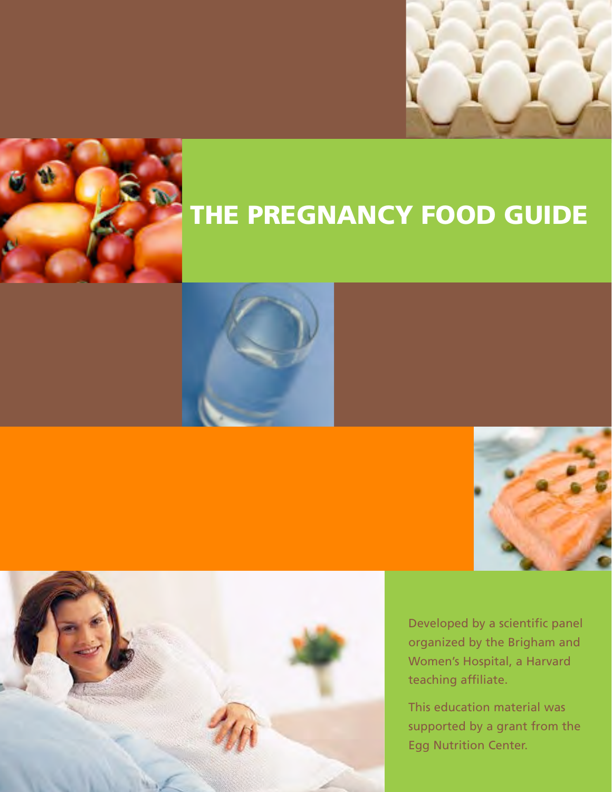



## THE PREGNANCY FOOD GUIDE







Developed by a scientific panel organized by the Brigham and Women's Hospital, a Harvard teaching affiliate.

This education material was supported by a grant from the Egg Nutrition Center.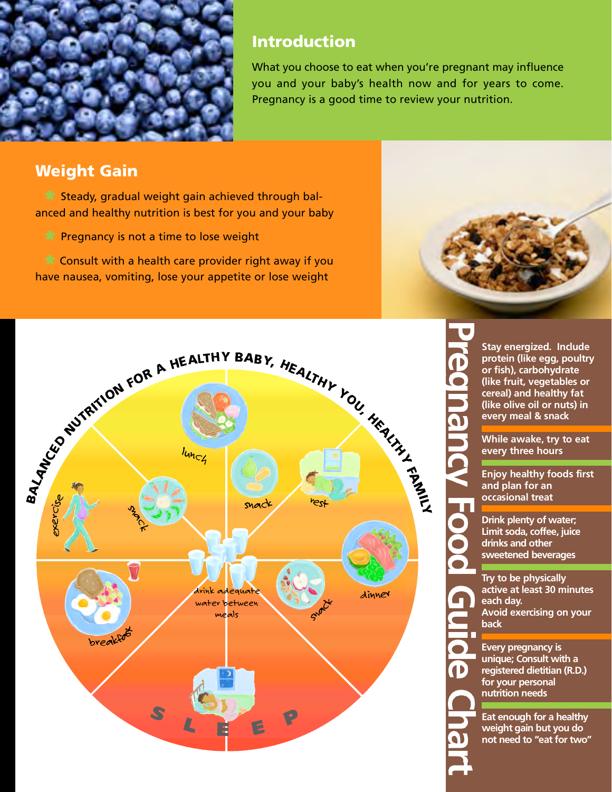

#### Introduction

What you choose to eat when you're pregnant may influence you and your baby's health now and for years to come. Pregnancy is a good time to review your nutrition.

#### Weight Gain

 $\mathbb{R}$  Steady, gradual weight gain achieved through balanced and healthy nutrition is best for you and your baby

 $\bullet$  Pregnancy is not a time to lose weight

 $\bullet$  Consult with a health care provider right away if you have nausea, vomiting, lose your appetite or lose weight





**Stay energized. Include p rotein (like egg, poultry or fish), carbohydrate (like fruit, vegetables or** cereal) and healthy fat **(like olive oil or nuts) in e v e ry meal & snack**

**While awake, try to eat**  every three hours

**Enjoy healthy foods first and plan for an occasional treat** 

**Drink plenty of water; Limit soda, coffee, juice drinks and other sweetened beverages**

**Try to be physically active at least 30 minutes each day. Avoid exercising on your back** 

**Every** pregnancy is **unique; Consult with a re g i s t e red dietitian (R.D.) for your personal nutrition needs**

**Eat enough for a healthy weight gain but you do not need to "eatfor two"**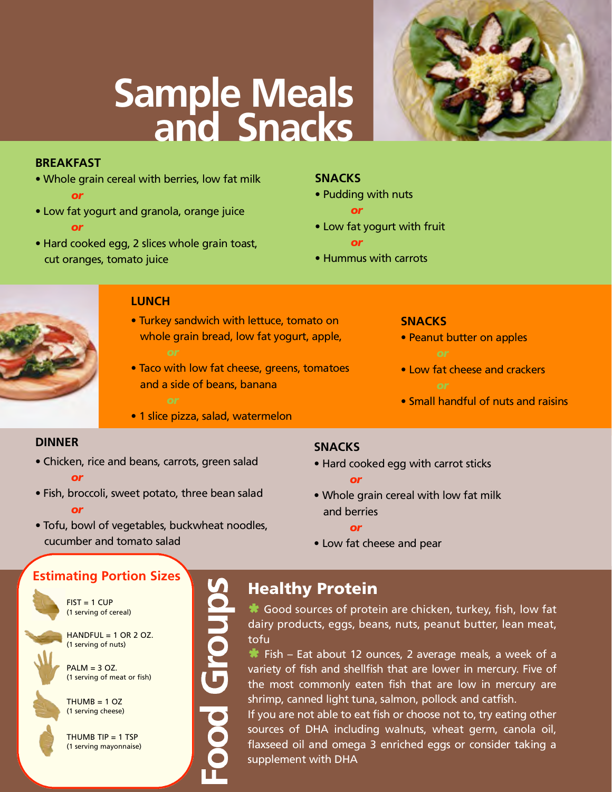### **Sample Meals** and Snacks

#### **BREAKFAST**

- Whole grain cereal with berries, low fat milk *o r*
- Low fat yogurt and granola, orange juice *o r*
- Hard cooked egg, 2 slices whole grain toast, cut oranges, tomato juice

#### **SNACKS**

- Pudding with nuts
	- or
- Low fat yogurt with fruit *o r*
- Hummus with carrots



#### **LUNCH**

- Turkey sandwich with lettuce, tomato on whole grain bread, low fat yogurt, apple,
- Taco with low fat cheese, greens, tomatoes and a side of beans, banana
- · 1 slice pizza, salad, watermelon

#### **SNACKS**

- Peanut butter on apples
- Low fat cheese and crackers
- Small handful of nuts and raisins

#### **DINNER**

- Chicken, rice and beans, carrots, green salad *o r*
- Fish, broccoli, sweet potato, three bean salad *o r*

#### **SNACKS**

- Hard cooked egg with carrot sticks *o r*
- Whole grain cereal with low fat milk and berries
	- *o r*
- Low fat cheese and pear
- Tofu, bowl of vegetables, buckwheat noodles, cucumber and tomato salad

#### **Estimating Portion Sizes**

 $FIST = 1 CUP$ (1 serving of cereal)

 $HANDFUL = 1 OR 2 OZ.$ (1 serving of nuts)

 $PALM = 3$  OZ. (1 serving of meat or fish)



THUMB TIP = 1 TSP (1 serving mayonnaise)

 $THUMB = 1 OZ$ (1 serving cheese)

# Food Groups Healthy Protein

 $\bullet$  Good sources of protein are chicken, turkey, fish, low fat dairy products, eggs, beans, nuts, peanut butter, lean meat, tofu

Fish – Eat about 12 ounces, 2 average meals, a week of a variety of fish and shellfish that are lower in mercury. Five of the most commonly eaten fish that are low in mercury are shrimp, canned light tuna, salmon, pollock and catfish.

If you are not able to eat fish or choose not to, try eating other sources of DHA including walnuts, wheat germ, canola oil, flaxseed oil and omega 3 enriched eggs or consider taking a supplement with DHA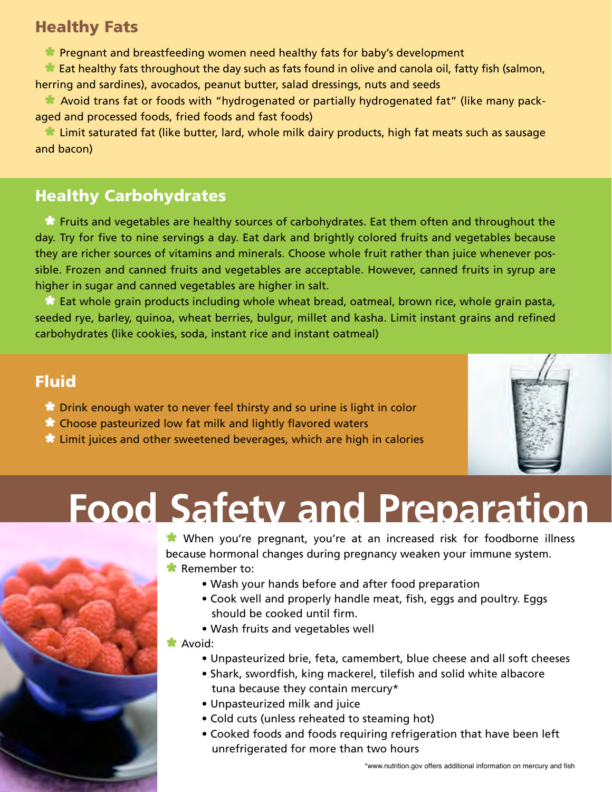#### Healthy Fats

**DE** Pregnant and breastfeeding women need healthy fats for baby's development

 $\bullet\bullet$  Eat healthy fats throughout the day such as fats found in olive and canola oil, fatty fish (salmon, herring and sardines), avocados, peanut butter, salad dressings, nuts and seeds

 $\bullet\bullet$  Avoid trans fat or foods with "hydrogenated or partially hydrogenated fat" (like many packaged and processed foods, fried foods and fast foods)

 $\bullet\hspace{0.1mm}$  Limit saturated fat (like butter, lard, whole milk dairy products, high fat meats such as sausage and bacon)

#### Healthy Carbohydrates

 $\bullet$  Fruits and vegetables are healthy sources of carbohydrates. Eat them often and throughout the day. Try for five to nine servings a day. Eat dark and brightly colored fruits and vegetables because they are richer sources of vitamins and minerals. Choose whole fruit rather than juice whenever possible. Frozen and canned fruits and vegetables are acceptable. However, canned fruits in syrup are higher in sugar and canned vegetables are higher in salt.

 $\mathbb{R}$  Eat whole grain products including whole wheat bread, oatmeal, brown rice, whole grain pasta, seeded rye, barley, quinoa, wheat berries, bulgur, millet and kasha. Limit instant grains and refined carbohydrates (like cookies, soda, instant rice and instant oatmeal)

#### Fluid

- $\bullet$  Drink enough water to never feel thirsty and so urine is light in color
- $\mathbb R$  Choose pasteurized low fat milk and lightly flavored waters
- $\mathbf{\hat{x}}$  Limit juices and other sweetened beverages, which are high in calories



## **Food Safety and Preparation**



When you're pregnant, you're at an increased risk for foodborne illness because hormonal changes during pregnancy weaken your immune system.

- $\bullet$  Remember to:
	- Wash your hands before and after food preparation
	- Cook well and properly handle meat, fish, eggs and poultry. Eggs should be cooked until firm.
	- Wash fruits and vegetables well

#### $\star$  Avoid:

- Unpasteurized brie, feta, camembert, blue cheese and all soft cheeses
- Shark, swordfish, king mackerel, tilefish and solid white albacore tuna because they contain mercury\*
- Unpasteurized milk and juice
- Cold cuts (unless reheated to steaming hot)
- Cooked foods and foods requiring refrigeration that have been left unrefrigerated for more than two hours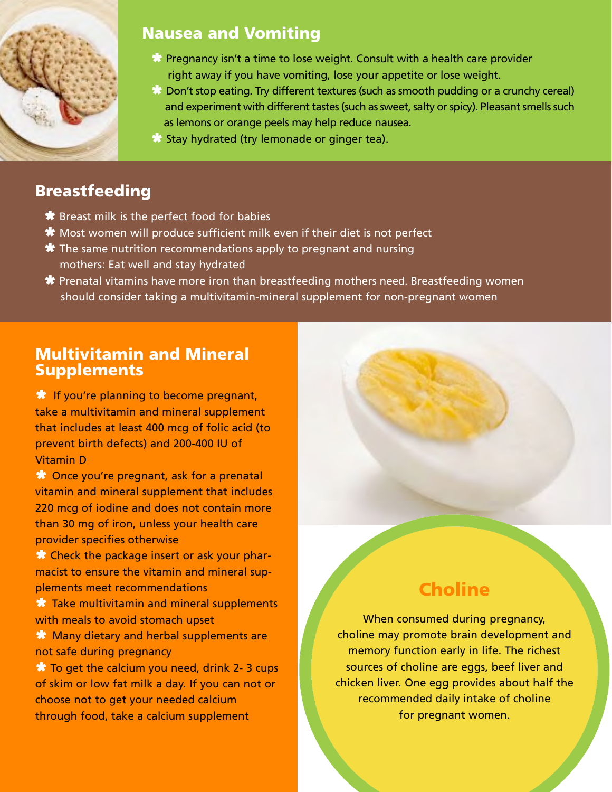

#### Nausea and Vomiting

- $\mathbf{\hat{x}}$  Pregnancy isn't a time to lose weight. Consult with a health care provider right away if you have vomiting, lose your appetite or lose weight.
- $\mathbb{R}$  Don't stop eating. Try different textures (such as smooth pudding or a crunchy cereal) and experiment with different tastes (such as sweet, salty or spicy). Pleasant smells such as lemons or orange peels may help reduce nausea.
- $\mathbf{\mathbf{\mathbf{\mathsf{X}}}}$  Stay hydrated (try lemonade or ginger tea).

#### **Breastfeeding**

- $\bigstar$  Breast milk is the perfect food for babies
- $\star$  Most women will produce sufficient milk even if their diet is not perfect
- $\bigstar$  The same nutrition recommendations apply to pregnant and nursing mothers: Eat well and stay hydrated
- $\bigstar$  Prenatal vitamins have more iron than breastfeeding mothers need. Breastfeeding women should consider taking a multivitamin-mineral supplement for non-pregnant women

#### Multivitamin and Mineral **Supplements**

 $\mathbf{\mathbf{\hat{x}}}$  If you're planning to become pregnant, take a multivitamin and mineral supplement that includes at least 400 mcg of folic acid (to prevent birth defects) and 200-400 IU of Vitamin D

**W** Once you're pregnant, ask for a prenatal vitamin and mineral supplement that includes 220 mcg of iodine and does not contain more than 30 mg of iron, unless your health care provider specifies otherwise

**X** Check the package insert or ask your pharmacist to ensure the vitamin and mineral supplements meet recommendations

 $\bullet$  Take multivitamin and mineral supplements with meals to avoid stomach upset

 $\mathbf{\mathcal{R}}$  Many dietary and herbal supplements are not safe during pregnancy

 $\mathbf{R}$  To get the calcium you need, drink 2-3 cups of skim or low fat milk a day. If you can not or choose not to get your needed calcium through food, take a calcium supplement

#### **Choline**

When consumed during pregnancy, choline may promote brain development and memory function early in life. The richest sources of choline are eggs, beef liver and chicken liver. One egg provides about half the recommended daily intake of choline for pregnant women.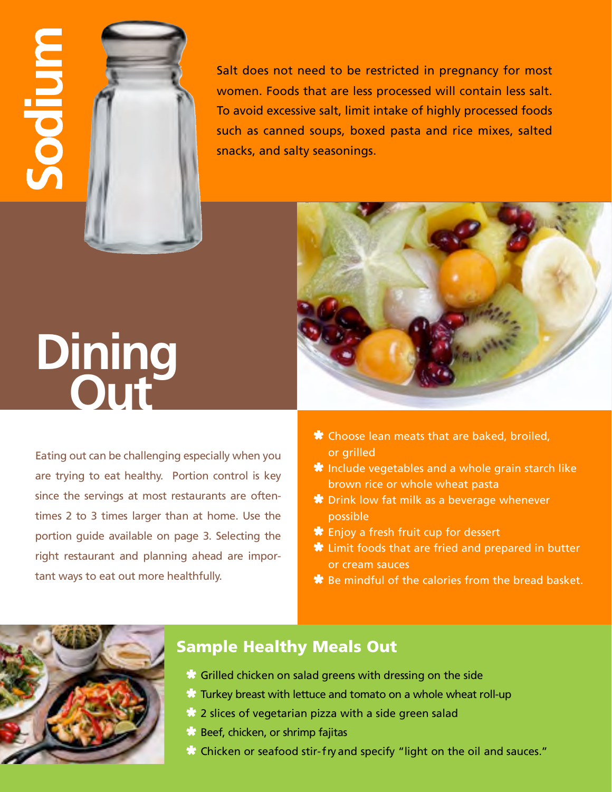

Salt does not need to be restricted in pregnancy for most women. Foods that are less processed will contain less salt. To avoid excessive salt, limit intake of highly processed foods such as canned soups, boxed pasta and rice mixes, salted snacks, and salty seasonings.



## **Dining<br>Out**

Eating out can be challenging especially when you are trying to eat healthy. Portion control is key since the servings at most restaurants are oftentimes 2 to 3 times larger than at home. Use the portion guide available on page 3. Selecting the right restaurant and planning ahead are important ways to eat out more healthfully.

- $\bigstar$  Choose lean meats that are baked, broiled, or grilled
- $\bigstar$  Include vegetables and a whole grain starch like brown rice or whole wheat pasta
- **\*** Drink low fat milk as a beverage whenever possible
- $\bigstar$  Enjoy a fresh fruit cup for dessert
- $\bigstar$  Limit foods that are fried and prepared in butter or cream sauces
- $\bigstar$  Be mindful of the calories from the bread basket.



#### Sample Healthy Meals Out

- $\mathbb{R}$  Grilled chicken on salad greens with dressing on the side
- $\mathbb R$  Turkey breast with lettuce and tomato on a whole wheat roll-up
- $\mathbf{\mathcal{R}}$  2 slices of vegetarian pizza with a side green salad
- $\mathbf{\mathbf{\mathcal{R}}}$  Beef, chicken, or shrimp fajitas
- $\mathbb{R}$  Chicken or seafood stir-fry and specify "light on the oil and sauces."